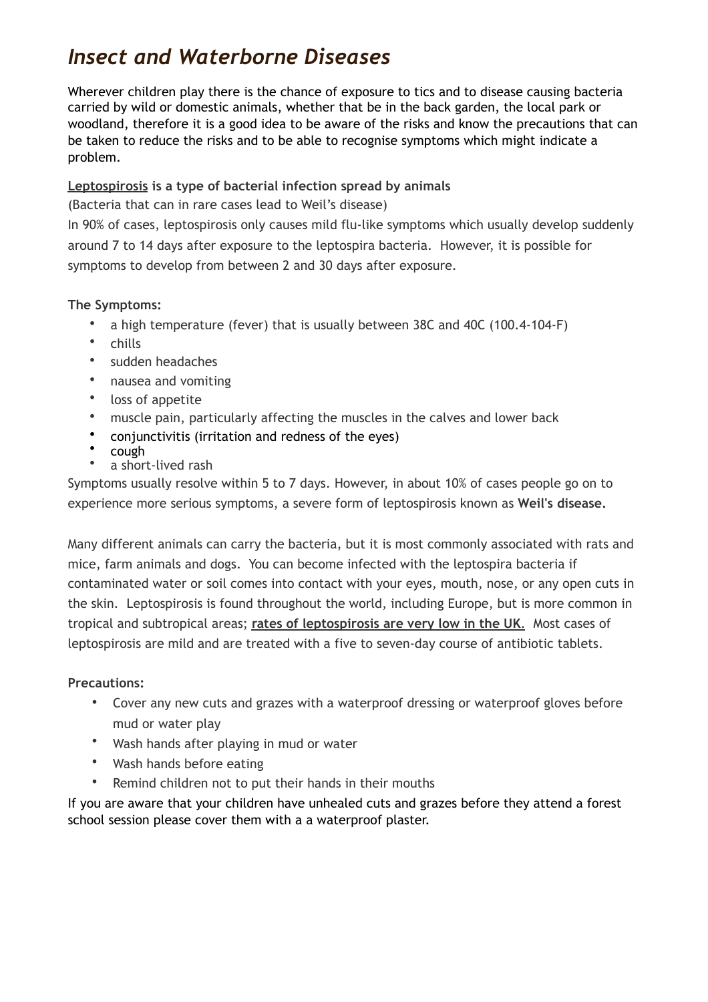# *Insect and Waterborne Diseases*

Wherever children play there is the chance of exposure to tics and to disease causing bacteria carried by wild or domestic animals, whether that be in the back garden, the local park or woodland, therefore it is a good idea to be aware of the risks and know the precautions that can be taken to reduce the risks and to be able to recognise symptoms which might indicate a problem.

# **Leptospirosis is a type of bacterial infection spread by animals**

(Bacteria that can in rare cases lead to Weil's disease)

In 90% of cases, leptospirosis only causes mild flu-like symptoms which usually develop suddenly around 7 to 14 days after exposure to the leptospira bacteria.However, it is possible for symptoms to develop from between 2 and 30 days after exposure.

## **The Symptoms:**

- a high temperature (fever) that is usually between 38C and 40C (100.4-104-F)
- chills
- sudden headaches
- nausea and vomiting
- loss of appetite
- muscle pain, particularly affecting the muscles in the calves and lower back
- [conjunctivitis](http://www.nhs.uk/conditions/Conjunctivitis-infective/Pages/Introduction.aspx) (irritation and redness of the eyes)
- [cough](http://www.nhs.uk/conditions/Cough/Pages/Introduction.aspx)
- a short-lived rash

Symptoms usually resolve within 5 to 7 days. However, in about 10% of cases people go on to experience more serious symptoms, a severe form of leptospirosis known as **Weil's disease.** 

Many different animals can carry the bacteria, but it is most commonly associated with rats and mice, farm animals and dogs. You can become infected with the leptospira bacteria if contaminated water or soil comes into contact with your eyes, mouth, nose, or any open cuts in the skin. Leptospirosis is found throughout the world, including Europe, but is more common in tropical and subtropical areas; **rates of leptospirosis are very low in the UK**. Most cases of leptospirosis are mild and are treated with a five to seven-day course of antibiotic tablets.

## **Precautions:**

- Cover any new cuts and grazes with a waterproof dressing or waterproof gloves before mud or water play
- Wash hands after playing in mud or water
- Wash hands before eating
- Remind children not to put their hands in their mouths

If you are aware that your children have unhealed cuts and grazes before they attend a forest school session please cover them with a a waterproof plaster.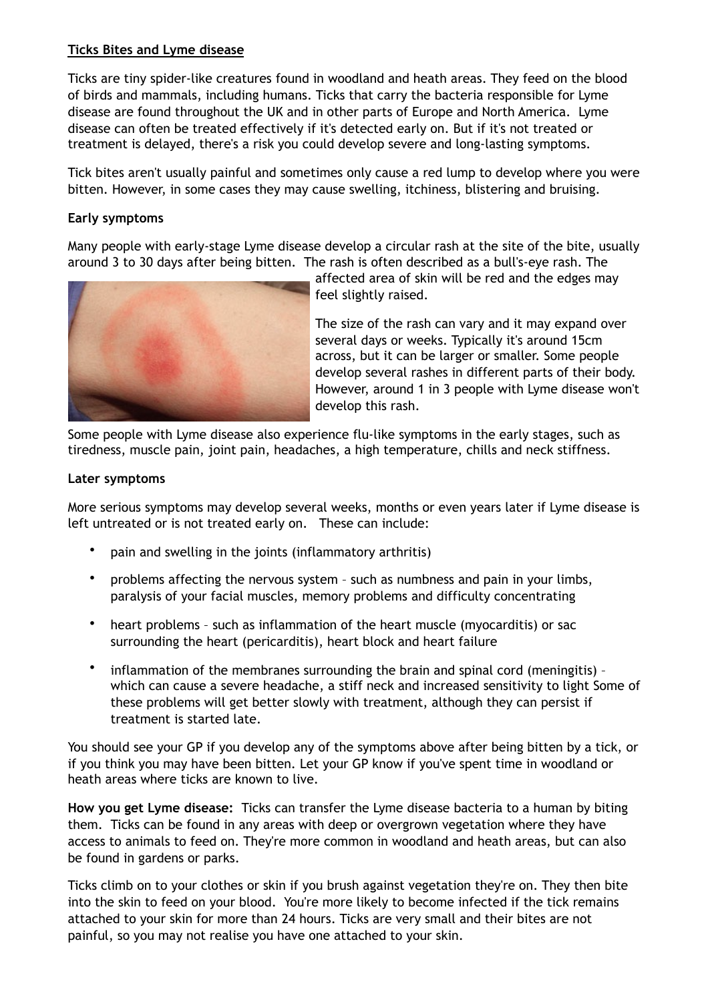### **Ticks Bites and Lyme disease**

Ticks are tiny spider-like creatures found in woodland and heath areas. They feed on the blood of birds and mammals, including humans. Ticks that carry the bacteria responsible for Lyme disease are found throughout the UK and in other parts of Europe and North America. Lyme disease can often be treated effectively if it's detected early on. But if it's not treated or treatment is delayed, there's a risk you could develop severe and long-lasting symptoms.

Tick bites aren't usually painful and sometimes only cause a red lump to develop where you were bitten. However, in some cases they may cause swelling, itchiness, blistering and bruising.

### **Early symptoms**

Many people with early-stage Lyme disease develop a circular rash at the site of the bite, usually around 3 to 30 days after being bitten. The rash is often described as a bull's-eye rash. The



affected area of skin will be red and the edges may feel slightly raised.

The size of the rash can vary and it may expand over several days or weeks. Typically it's around 15cm across, but it can be larger or smaller. Some people develop several rashes in different parts of their body. However, around 1 in 3 people with Lyme disease won't develop this rash.

Some people with Lyme disease also experience flu-like symptoms in the early stages, such as tiredness, muscle pain, joint pain, headaches, a high temperature, chills and neck stiffness.

#### **Later symptoms**

More serious symptoms may develop several weeks, months or even years later if Lyme disease is left untreated or is not treated early on. These can include:

- pain and swelling in the joints (inflammatory arthritis)
- problems affecting the nervous system such as numbness and pain in your limbs, paralysis of your facial muscles, memory problems and difficulty concentrating
- heart problems such as inflammation of the heart muscle (myocarditis) or sac surrounding the heart (pericarditis), heart block and heart failure
- inflammation of the membranes surrounding the brain and spinal cord (meningitis) which can cause a severe headache, a stiff neck and increased sensitivity to light Some of these problems will get better slowly with treatment, although they can persist if treatment is started late.

You should see your GP if you develop any of the symptoms above after being bitten by a tick, or if you think you may have been bitten. Let your GP know if you've spent time in woodland or heath areas where ticks are known to live.

**How you get Lyme disease:** Ticks can transfer the Lyme disease bacteria to a human by biting them. Ticks can be found in any areas with deep or overgrown vegetation where they have access to animals to feed on. They're more common in woodland and heath areas, but can also be found in gardens or parks.

Ticks climb on to your clothes or skin if you brush against vegetation they're on. They then bite into the skin to feed on your blood. You're more likely to become infected if the tick remains attached to your skin for more than 24 hours. Ticks are very small and their bites are not painful, so you may not realise you have one attached to your skin.